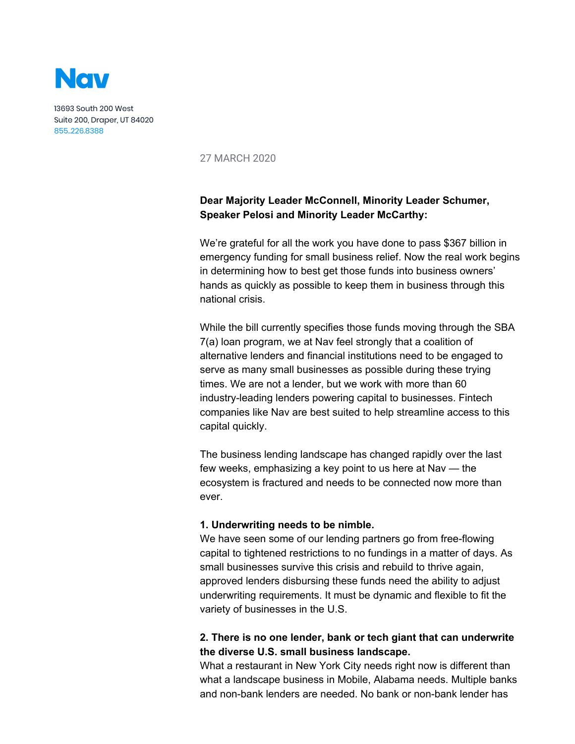

13693 South 200 West Suite 200, Draper, UT 84020 855..226.8388

27 MARCH 2020

# **Dear Majority Leader McConnell, Minority Leader Schumer, Speaker Pelosi and Minority Leader McCarthy:**

We're grateful for all the work you have done to pass \$367 billion in emergency funding for small business relief. Now the real work begins in determining how to best get those funds into business owners' hands as quickly as possible to keep them in business through this national crisis.

While the bill currently specifies those funds moving through the SBA 7(a) loan program, we at Nav feel strongly that a coalition of alternative lenders and financial institutions need to be engaged to serve as many small businesses as possible during these trying times. We are not a lender, but we work with more than 60 industry-leading lenders powering capital to businesses. Fintech companies like Nav are best suited to help streamline access to this capital quickly.

The business lending landscape has changed rapidly over the last few weeks, emphasizing a key point to us here at Nav — the ecosystem is fractured and needs to be connected now more than ever.

#### **1. Underwriting needs to be nimble.**

We have seen some of our lending partners go from free-flowing capital to tightened restrictions to no fundings in a matter of days. As small businesses survive this crisis and rebuild to thrive again, approved lenders disbursing these funds need the ability to adjust underwriting requirements. It must be dynamic and flexible to fit the variety of businesses in the U.S.

## **2. There is no one lender, bank or tech giant that can underwrite the diverse U.S. small business landscape.**

What a restaurant in New York City needs right now is different than what a landscape business in Mobile, Alabama needs. Multiple banks and non-bank lenders are needed. No bank or non-bank lender has